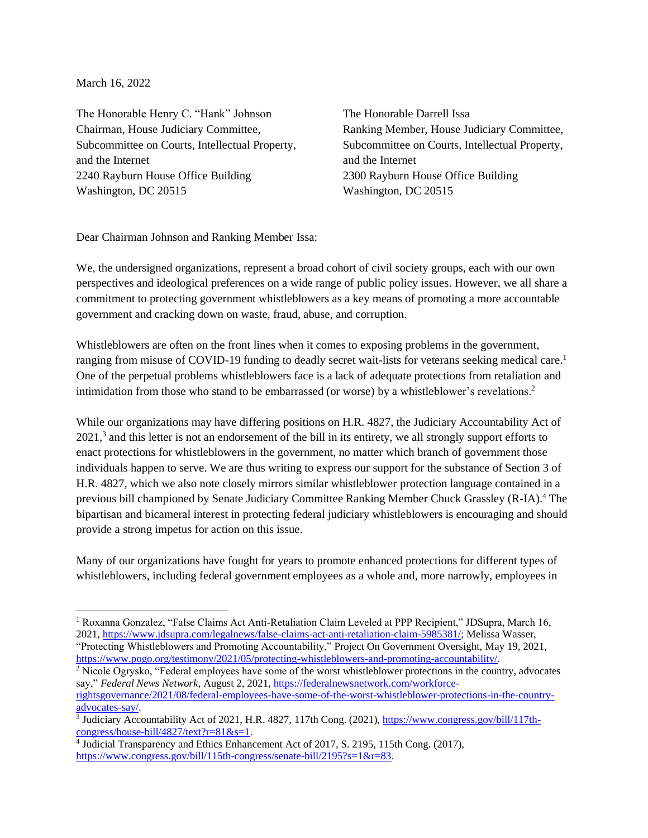March 16, 2022

The Honorable Henry C. "Hank" Johnson Chairman, House Judiciary Committee, Subcommittee on Courts, Intellectual Property, and the Internet 2240 Rayburn House Office Building Washington, DC 20515

The Honorable Darrell Issa Ranking Member, House Judiciary Committee, Subcommittee on Courts, Intellectual Property, and the Internet 2300 Rayburn House Office Building Washington, DC 20515

Dear Chairman Johnson and Ranking Member Issa:

We, the undersigned organizations, represent a broad cohort of civil society groups, each with our own perspectives and ideological preferences on a wide range of public policy issues. However, we all share a commitment to protecting government whistleblowers as a key means of promoting a more accountable government and cracking down on waste, fraud, abuse, and corruption.

Whistleblowers are often on the front lines when it comes to exposing problems in the government, ranging from misuse of COVID-19 funding to deadly secret wait-lists for veterans seeking medical care.<sup>1</sup> One of the perpetual problems whistleblowers face is a lack of adequate protections from retaliation and intimidation from those who stand to be embarrassed (or worse) by a whistleblower's revelations.<sup>2</sup>

While our organizations may have differing positions on H.R. 4827, the Judiciary Accountability Act of  $2021$ ,<sup>3</sup> and this letter is not an endorsement of the bill in its entirety, we all strongly support efforts to enact protections for whistleblowers in the government, no matter which branch of government those individuals happen to serve. We are thus writing to express our support for the substance of Section 3 of H.R. 4827, which we also note closely mirrors similar whistleblower protection language contained in a previous bill championed by Senate Judiciary Committee Ranking Member Chuck Grassley (R-IA).<sup>4</sup> The bipartisan and bicameral interest in protecting federal judiciary whistleblowers is encouraging and should provide a strong impetus for action on this issue.

Many of our organizations have fought for years to promote enhanced protections for different types of whistleblowers, including federal government employees as a whole and, more narrowly, employees in

<sup>1</sup> Roxanna Gonzalez, "False Claims Act Anti-Retaliation Claim Leveled at PPP Recipient," JDSupra, March 16, 2021, [https://www.jdsupra.com/legalnews/false-claims-act-anti-retaliation-claim-5985381/;](https://www.jdsupra.com/legalnews/false-claims-act-anti-retaliation-claim-5985381/) Melissa Wasser, "Protecting Whistleblowers and Promoting Accountability," Project On Government Oversight, May 19, 2021, [https://www.pogo.org/testimony/2021/05/protecting-whistleblowers-and-promoting-accountability/.](https://www.pogo.org/testimony/2021/05/protecting-whistleblowers-and-promoting-accountability/)

<sup>2</sup> Nicole Ogrysko, "Federal employees have some of the worst whistleblower protections in the country, advocates say," *Federal News Network*, August 2, 2021[, https://federalnewsnetwork.com/workforce](https://federalnewsnetwork.com/workforce-rightsgovernance/2021/08/federal-employees-have-some-of-the-worst-whistleblower-protections-in-the-country-advocates-say/)[rightsgovernance/2021/08/federal-employees-have-some-of-the-worst-whistleblower-protections-in-the-country](https://federalnewsnetwork.com/workforce-rightsgovernance/2021/08/federal-employees-have-some-of-the-worst-whistleblower-protections-in-the-country-advocates-say/)[advocates-say/.](https://federalnewsnetwork.com/workforce-rightsgovernance/2021/08/federal-employees-have-some-of-the-worst-whistleblower-protections-in-the-country-advocates-say/)

<sup>&</sup>lt;sup>3</sup> Judiciary Accountability Act of 2021, H.R. 4827, 117th Cong. (2021)[, https://www.congress.gov/bill/117th-](https://www.congress.gov/bill/117th-congress/house-bill/4827/text?r=81&s=1)

[congress/house-bill/4827/text?r=81&s=1.](https://www.congress.gov/bill/117th-congress/house-bill/4827/text?r=81&s=1) 4 Judicial Transparency and Ethics Enhancement Act of 2017, S. 2195, 115th Cong. (2017), [https://www.congress.gov/bill/115th-congress/senate-bill/2195?s=1&r=83.](https://www.congress.gov/bill/115th-congress/senate-bill/2195?s=1&r=83)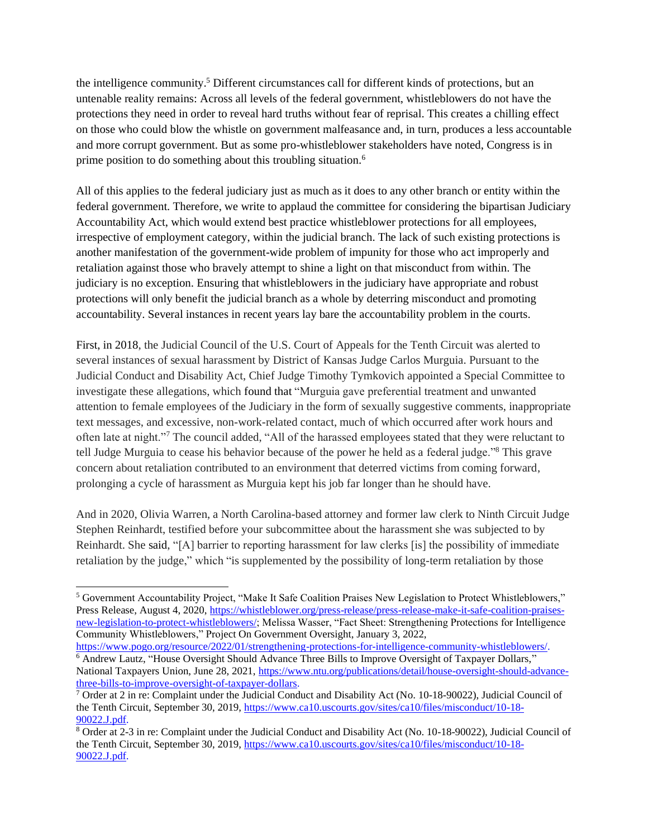the intelligence community.<sup>5</sup> Different circumstances call for different kinds of protections, but an untenable reality remains: Across all levels of the federal government, whistleblowers do not have the protections they need in order to reveal hard truths without fear of reprisal. This creates a chilling effect on those who could blow the whistle on government malfeasance and, in turn, produces a less accountable and more corrupt government. But as some pro-whistleblower stakeholders have noted, Congress is in prime position to do something about this troubling situation.<sup>6</sup>

All of this applies to the federal judiciary just as much as it does to any other branch or entity within the federal government. Therefore, we write to applaud the committee for considering the bipartisan Judiciary Accountability Act, which would extend best practice whistleblower protections for all employees, irrespective of employment category, within the judicial branch. The lack of such existing protections is another manifestation of the government-wide problem of impunity for those who act improperly and retaliation against those who bravely attempt to shine a light on that misconduct from within. The judiciary is no exception. Ensuring that whistleblowers in the judiciary have appropriate and robust protections will only benefit the judicial branch as a whole by deterring misconduct and promoting accountability. Several instances in recent years lay bare the accountability problem in the courts.

First, in 2018, the Judicial Council of the U.S. Court of Appeals for the Tenth Circuit was alerted to several instances of sexual harassment by District of Kansas Judge Carlos Murguia. Pursuant to the Judicial Conduct and Disability Act, Chief Judge Timothy Tymkovich appointed a Special Committee to investigate these allegations, which found that "Murguia gave preferential treatment and unwanted attention to female employees of the Judiciary in the form of sexually suggestive comments, inappropriate text messages, and excessive, non-work-related contact, much of which occurred after work hours and often late at night."<sup>7</sup> The council added, "All of the harassed employees stated that they were reluctant to tell Judge Murguia to cease his behavior because of the power he held as a federal judge."<sup>8</sup> This grave concern about retaliation contributed to an environment that deterred victims from coming forward, prolonging a cycle of harassment as Murguia kept his job far longer than he should have.

And in 2020, Olivia Warren, a North Carolina-based attorney and former law clerk to Ninth Circuit Judge Stephen Reinhardt, testified before your subcommittee about the harassment she was subjected to by Reinhardt. She said, "[A] barrier to reporting harassment for law clerks [is] the possibility of immediate retaliation by the judge," which "is supplemented by the possibility of long-term retaliation by those

<sup>5</sup> Government Accountability Project, "Make It Safe Coalition Praises New Legislation to Protect Whistleblowers," Press Release, August 4, 2020, [https://whistleblower.org/press-release/press-release-make-it-safe-coalition-praises](https://whistleblower.org/press-release/press-release-make-it-safe-coalition-praises-new-legislation-to-protect-whistleblowers/)[new-legislation-to-protect-whistleblowers/;](https://whistleblower.org/press-release/press-release-make-it-safe-coalition-praises-new-legislation-to-protect-whistleblowers/) Melissa Wasser, "Fact Sheet: Strengthening Protections for Intelligence Community Whistleblowers," Project On Government Oversight, January 3, 2022,

[https://www.pogo.org/resource/2022/01/strengthening-protections-for-intelligence-community-whistleblowers/.](https://www.pogo.org/resource/2022/01/strengthening-protections-for-intelligence-community-whistleblowers/)  <sup>6</sup> Andrew Lautz, "House Oversight Should Advance Three Bills to Improve Oversight of Taxpayer Dollars," National Taxpayers Union, June 28, 2021, [https://www.ntu.org/publications/detail/house-oversight-should-advance](https://www.ntu.org/publications/detail/house-oversight-should-advance-three-bills-to-improve-oversight-of-taxpayer-dollars)[three-bills-to-improve-oversight-of-taxpayer-dollars.](https://www.ntu.org/publications/detail/house-oversight-should-advance-three-bills-to-improve-oversight-of-taxpayer-dollars)

<sup>7</sup> Order at 2 in re: Complaint under the Judicial Conduct and Disability Act (No. 10-18-90022), Judicial Council of the Tenth Circuit, September 30, 2019[, https://www.ca10.uscourts.gov/sites/ca10/files/misconduct/10-18-](https://www.ca10.uscourts.gov/sites/ca10/files/misconduct/10-18-90022.J.pdf) [90022.J.pdf.](https://www.ca10.uscourts.gov/sites/ca10/files/misconduct/10-18-90022.J.pdf)

<sup>8</sup> Order at 2-3 in re: Complaint under the Judicial Conduct and Disability Act (No. 10-18-90022), Judicial Council of the Tenth Circuit, September 30, 2019[, https://www.ca10.uscourts.gov/sites/ca10/files/misconduct/10-18-](https://www.ca10.uscourts.gov/sites/ca10/files/misconduct/10-18-90022.J.pdf) [90022.J.pdf.](https://www.ca10.uscourts.gov/sites/ca10/files/misconduct/10-18-90022.J.pdf)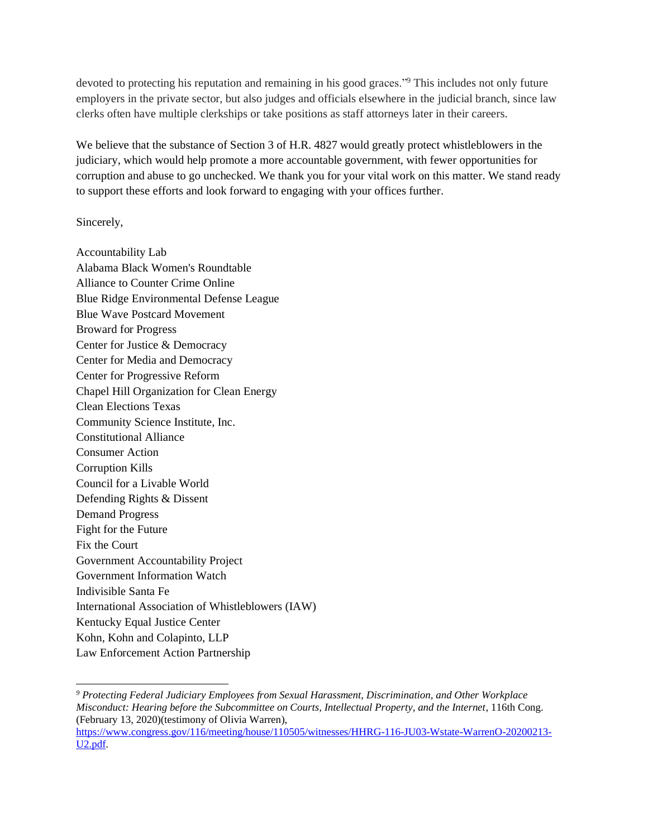devoted to protecting his reputation and remaining in his good graces."<sup>9</sup> This includes not only future employers in the private sector, but also judges and officials elsewhere in the judicial branch, since law clerks often have multiple clerkships or take positions as staff attorneys later in their careers.

We believe that the substance of Section 3 of H.R. 4827 would greatly protect whistleblowers in the judiciary, which would help promote a more accountable government, with fewer opportunities for corruption and abuse to go unchecked. We thank you for your vital work on this matter. We stand ready to support these efforts and look forward to engaging with your offices further.

Sincerely,

Accountability Lab Alabama Black Women's Roundtable Alliance to Counter Crime Online Blue Ridge Environmental Defense League Blue Wave Postcard Movement Broward for Progress Center for Justice & Democracy Center for Media and Democracy Center for Progressive Reform Chapel Hill Organization for Clean Energy Clean Elections Texas Community Science Institute, Inc. Constitutional Alliance Consumer Action Corruption Kills Council for a Livable World Defending Rights & Dissent Demand Progress Fight for the Future Fix the Court Government Accountability Project Government Information Watch Indivisible Santa Fe International Association of Whistleblowers (IAW) Kentucky Equal Justice Center Kohn, Kohn and Colapinto, LLP Law Enforcement Action Partnership

*<sup>9</sup> Protecting Federal Judiciary Employees from Sexual Harassment, Discrimination, and Other Workplace Misconduct: Hearing before the Subcommittee on Courts, Intellectual Property, and the Internet*, 116th Cong. (February 13, 2020)(testimony of Olivia Warren),

[https://www.congress.gov/116/meeting/house/110505/witnesses/HHRG-116-JU03-Wstate-WarrenO-20200213-](https://www.congress.gov/116/meeting/house/110505/witnesses/HHRG-116-JU03-Wstate-WarrenO-20200213-U2.pdf) [U2.pdf.](https://www.congress.gov/116/meeting/house/110505/witnesses/HHRG-116-JU03-Wstate-WarrenO-20200213-U2.pdf)